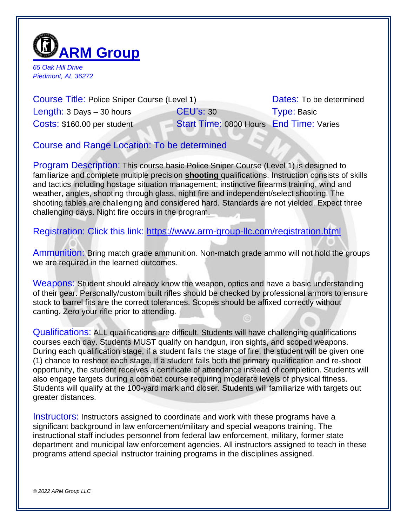

*65 Oak Hill Drive Piedmont, AL 36272*

Course Title: Police Sniper Course (Level 1) Dates: To be determined Length: 3 Days – 30 hours **CEU's: 30** Type: Basic Costs: \$160.00 per student Start Time: 0800 Hours End Time: Varies

Course and Range Location: To be determined

Program Description: This course basic Police Sniper Course (Level 1) is designed to familiarize and complete multiple precision **shooting** qualifications. Instruction consists of skills and tactics including hostage situation management; instinctive firearms training, wind and weather, angles, shooting through glass, night fire and independent/select shooting. The shooting tables are challenging and considered hard. Standards are not yielded. Expect three challenging days. Night fire occurs in the program.

Registration: Click this link:<https://www.arm-group-llc.com/registration.html>

Ammunition: Bring match grade ammunition. Non-match grade ammo will not hold the groups we are required in the learned outcomes.

Weapons: Student should already know the weapon, optics and have a basic understanding of their gear. Personally/custom built rifles should be checked by professional armors to ensure stock to barrel fits are the correct tolerances. Scopes should be affixed correctly without canting. Zero your rifle prior to attending.

Qualifications: ALL qualifications are difficult. Students will have challenging qualifications courses each day. Students MUST qualify on handgun, iron sights, and scoped weapons. During each qualification stage, if a student fails the stage of fire, the student will be given one (1) chance to reshoot each stage. If a student fails both the primary qualification and re-shoot opportunity, the student receives a certificate of attendance instead of completion. Students will also engage targets during a combat course requiring moderate levels of physical fitness. Students will qualify at the 100-yard mark and closer. Students will familiarize with targets out greater distances.

Instructors: Instructors assigned to coordinate and work with these programs have a significant background in law enforcement/military and special weapons training. The instructional staff includes personnel from federal law enforcement, military, former state department and municipal law enforcement agencies. All instructors assigned to teach in these programs attend special instructor training programs in the disciplines assigned.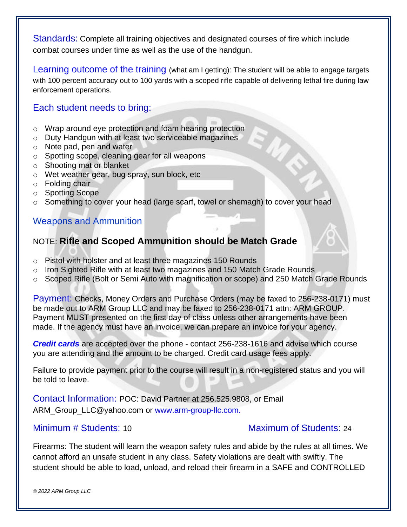Standards: Complete all training objectives and designated courses of fire which include combat courses under time as well as the use of the handgun.

Learning outcome of the training (what am I getting): The student will be able to engage targets with 100 percent accuracy out to 100 yards with a scoped rifle capable of delivering lethal fire during law enforcement operations.

## Each student needs to bring:

- o Wrap around eye protection and foam hearing protection
- o Duty Handgun with at least two serviceable magazines
- o Note pad, pen and water
- o Spotting scope, cleaning gear for all weapons
- o Shooting mat or blanket
- o Wet weather gear, bug spray, sun block, etc
- o Folding chair
- o Spotting Scope
- o Something to cover your head (large scarf, towel or shemagh) to cover your head

## Weapons and Ammunition

# NOTE: **Rifle and Scoped Ammunition should be Match Grade**

- o Pistol with holster and at least three magazines 150 Rounds
- o Iron Sighted Rifle with at least two magazines and 150 Match Grade Rounds
- o Scoped Rifle (Bolt or Semi Auto with magnification or scope) and 250 Match Grade Rounds

Payment: Checks, Money Orders and Purchase Orders (may be faxed to 256-238-0171) must be made out to ARM Group LLC and may be faxed to 256-238-0171 attn: ARM GROUP. Payment MUST presented on the first day of class unless other arrangements have been made. If the agency must have an invoice, we can prepare an invoice for your agency.

*Credit cards* are accepted over the phone - contact 256-238-1616 and advise which course you are attending and the amount to be charged. Credit card usage fees apply.

Failure to provide payment prior to the course will result in a non-registered status and you will be told to leave.

Contact Information: POC: David Partner at 256.525.9808, or Email ARM\_Group\_LLC@yahoo.com or [www.arm-group-llc.com.](http://www.arm-group-llc.com/)

### Minimum # Students: 10 Maximum of Students: 24

Firearms: The student will learn the weapon safety rules and abide by the rules at all times. We cannot afford an unsafe student in any class. Safety violations are dealt with swiftly. The student should be able to load, unload, and reload their firearm in a SAFE and CONTROLLED

*© 2022 ARM Group LLC*